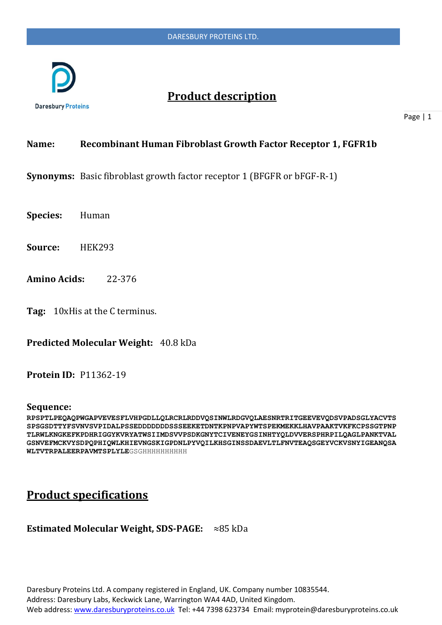

# **Product description**

Page | 1

## **Name: Recombinant Human Fibroblast Growth Factor Receptor 1, FGFR1b**

**Synonyms:** Basic fibroblast growth factor receptor 1 (BFGFR or bFGF-R-1)

**Species:** Human

**Source:** HEK293

**Amino Acids:** 22-376

**Tag:** 10xHis at the C terminus.

**Predicted Molecular Weight:** 40.8 kDa

### **Protein ID:** P11362-19

#### **Sequence:**

**RPSPTLPEQAQPWGAPVEVESFLVHPGDLLQLRCRLRDDVQSINWLRDGVQLAESNRTRITGEEVEVQDSVPADSGLYACVTS SPSGSDTTYFSVNVSVPIDALPSSEDDDDDDDSSSEEKETDNTKPNPVAPYWTSPEKMEKKLHAVPAAKTVKFKCPSSGTPNP TLRWLKNGKEFKPDHRIGGYKVRYATWSIIMDSVVPSDKGNYTCIVENEYGSINHTYQLDVVERSPHRPILQAGLPANKTVAL GSNVEFMCKVYSDPQPHIQWLKHIEVNGSKIGPDNLPYVQILKHSGINSSDAEVLTLFNVTEAQSGEYVCKVSNYIGEANQSA** WLTVTRPALEERPAVMTSPLYLEGSGHHHHHHHHHH

# **Product specifications**

### **Estimated Molecular Weight, SDS-PAGE:** ≈85 kDa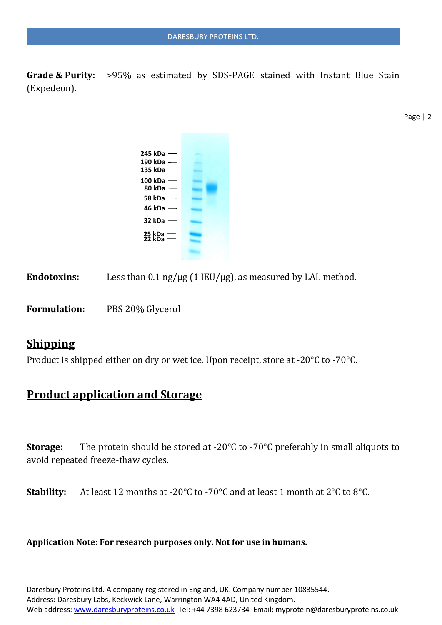**Grade & Purity:** >95% as estimated by SDS-PAGE stained with Instant Blue Stain (Expedeon).

Page | 2

| $245$ kDa $-$                |  |
|------------------------------|--|
| 190 kDa $-$                  |  |
| 135 kDa $-$                  |  |
| $100$ kDa $-$                |  |
| 80 kDa $-$                   |  |
| 58 kDa $-$                   |  |
| 46 kDa -                     |  |
| 32 kDa $-$                   |  |
| $\frac{25}{22}$ kDa $\equiv$ |  |
|                              |  |

Endotoxins: Less than  $0.1$  ng/ $\mu$ g (1 IEU/ $\mu$ g), as measured by LAL method.

**Formulation:** PBS 20% Glycerol

## **Shipping**

Product is shipped either on dry or wet ice. Upon receipt, store at -20°C to -70°C.

# **Product application and Storage**

**Storage:** The protein should be stored at -20°C to -70°C preferably in small aliquots to avoid repeated freeze-thaw cycles.

**Stability:** At least 12 months at -20°C to -70°C and at least 1 month at 2°C to 8°C.

### **Application Note: For research purposes only. Not for use in humans.**